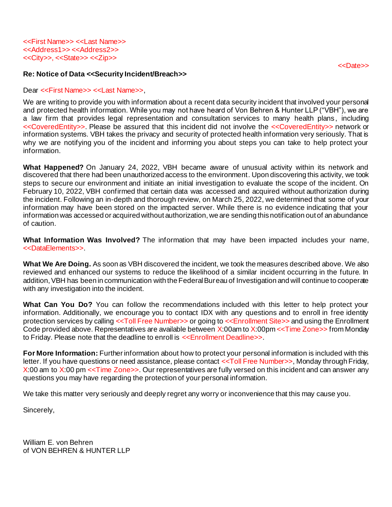## **Re: Notice of Data <<Security Incident/Breach>>**

Dear <<First Name>> <<Last Name>>.

We are writing to provide you with information about a recent data security incident that involved your personal and protected health information. While you may not have heard of Von Behren & Hunter LLP ("VBH"), we are a law firm that provides legal representation and consultation services to many health plans , including <<CoveredEntity>>. Please be assured that this incident did not involve the <<CoveredEntity>> network or information systems. VBH takes the privacy and security of protected health information very seriously. That is why we are notifying you of the incident and informing you about steps you can take to help protect your information.

**What Happened?** On January 24, 2022, VBH became aware of unusual activity within its network and discovered that there had been unauthorized access to the environment. Upon discovering this activity, we took steps to secure our environment and initiate an initial investigation to evaluate the scope of the incident. On February 10, 2022, VBH confirmed that certain data was accessed and acquired without authorization during the incident. Following an in-depth and thorough review, on March 25, 2022, we determined that some of your information may have been stored on the impacted server. While there is no evidence indicating that your information was accessed or acquired without authorization, we are sending this notification out of an abundance of caution.

**What Information Was Involved?** The information that may have been impacted includes your name, <<DataElements>>.

**What We Are Doing.** As soon as VBH discovered the incident, we took the measures described above. We also reviewed and enhanced our systems to reduce the likelihood of a similar incident occurring in the future. In addition, VBH has been in communication with the Federal Bureau of Investigation and will continue to cooperate with any investigation into the incident.

**What Can You Do?** You can follow the recommendations included with this letter to help protect your information. Additionally, we encourage you to contact IDX with any questions and to enroll in free identity protection services by calling <<Toll Free Number>> or going to <<Enrollment Site>> and using the Enrollment Code provided above. Representatives are available between X:00am to X:00pm <<Time Zone>> from Monday to Friday. Please note that the deadline to enroll is <<Enrollment Deadline>>.

**For More Information:** Further information about how to protect your personal information is included with this letter. If you have questions or need assistance, please contact <<Toll Free Number>>, Monday through Friday, X:00 am to X:00 pm << Time Zone>>. Our representatives are fully versed on this incident and can answer any questions you may have regarding the protection of your personal information.

We take this matter very seriously and deeply regret any worry or inconvenience that this may cause you.

Sincerely,

William E. von Behren of VON BEHREN & HUNTER LLP